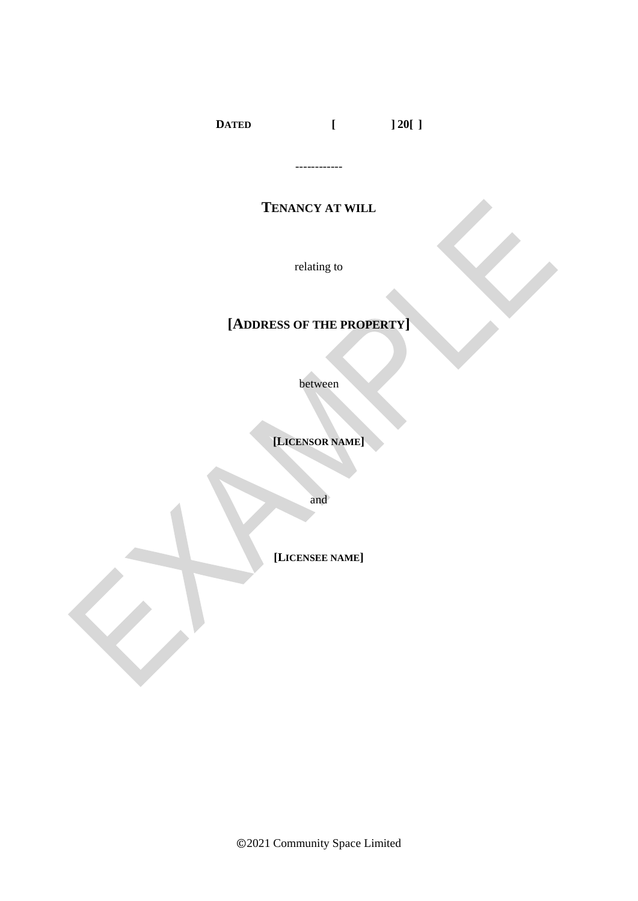**DATED [ ] 20[ ]**

# **TENANCY AT WILL**

------------

relating to

# **[ADDRESS OF THE PROPERTY]**

between

**[LICENSOR NAME]**

and

**[LICENSEE NAME]**

©2021 Community Space Limited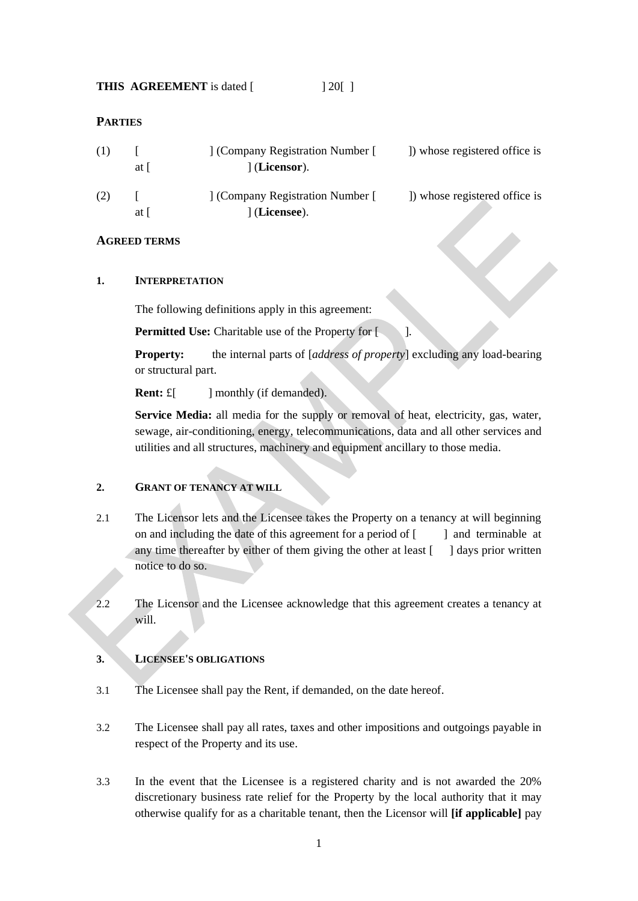| <b>THIS AGREEMENT</b> is dated [ |  | $\left  \begin{array}{c} 20 \\ \end{array} \right $ |
|----------------------------------|--|-----------------------------------------------------|
|----------------------------------|--|-----------------------------------------------------|

#### **PARTIES**

| (1) | at I | ] (Company Registration Number [<br>$\vert$ (Licensor). | ) whose registered office is |
|-----|------|---------------------------------------------------------|------------------------------|
| (2) | at I | ] (Company Registration Number [<br>] (Licensee).       | ) whose registered office is |

### **AGREED TERMS**

#### **1. INTERPRETATION**

The following definitions apply in this agreement:

**Permitted Use:** Charitable use of the Property for [

**Property:** the internal parts of *[address of property*] excluding any load-bearing or structural part.

**Rent:**  $E$ [ ] monthly (if demanded).

**Service Media:** all media for the supply or removal of heat, electricity, gas, water, sewage, air-conditioning, energy, telecommunications, data and all other services and utilities and all structures, machinery and equipment ancillary to those media.

## **2. GRANT OF TENANCY AT WILL**

- 2.1 The Licensor lets and the Licensee takes the Property on a tenancy at will beginning on and including the date of this agreement for a period of  $\lceil \cdot \cdot \cdot \rceil$  and terminable at any time thereafter by either of them giving the other at least  $\lceil \quad \rceil$  days prior written notice to do so.
- 2.2 The Licensor and the Licensee acknowledge that this agreement creates a tenancy at will.

#### **3. LICENSEE'S OBLIGATIONS**

- 3.1 The Licensee shall pay the Rent, if demanded, on the date hereof.
- 3.2 The Licensee shall pay all rates, taxes and other impositions and outgoings payable in respect of the Property and its use.
- 3.3 In the event that the Licensee is a registered charity and is not awarded the 20% discretionary business rate relief for the Property by the local authority that it may otherwise qualify for as a charitable tenant, then the Licensor will **[if applicable]** pay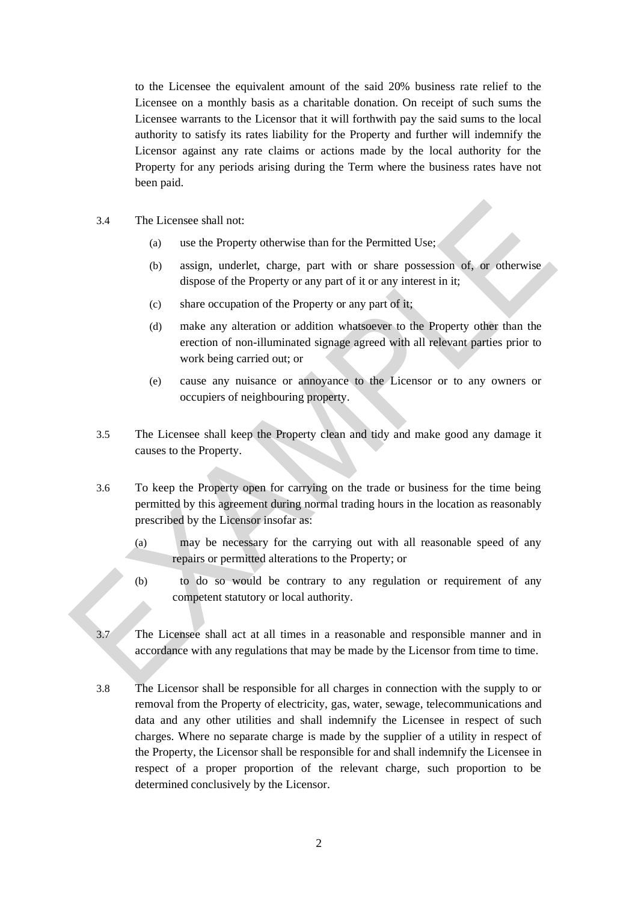to the Licensee the equivalent amount of the said 20% business rate relief to the Licensee on a monthly basis as a charitable donation. On receipt of such sums the Licensee warrants to the Licensor that it will forthwith pay the said sums to the local authority to satisfy its rates liability for the Property and further will indemnify the Licensor against any rate claims or actions made by the local authority for the Property for any periods arising during the Term where the business rates have not been paid.

- 3.4 The Licensee shall not:
	- (a) use the Property otherwise than for the Permitted Use;
	- (b) assign, underlet, charge, part with or share possession of, or otherwise dispose of the Property or any part of it or any interest in it;
	- (c) share occupation of the Property or any part of it;
	- (d) make any alteration or addition whatsoever to the Property other than the erection of non-illuminated signage agreed with all relevant parties prior to work being carried out; or
	- (e) cause any nuisance or annoyance to the Licensor or to any owners or occupiers of neighbouring property.
- 3.5 The Licensee shall keep the Property clean and tidy and make good any damage it causes to the Property.
- 3.6 To keep the Property open for carrying on the trade or business for the time being permitted by this agreement during normal trading hours in the location as reasonably prescribed by the Licensor insofar as:
	- (a) may be necessary for the carrying out with all reasonable speed of any repairs or permitted alterations to the Property; or
	- (b) to do so would be contrary to any regulation or requirement of any competent statutory or local authority.
- 3.7 The Licensee shall act at all times in a reasonable and responsible manner and in accordance with any regulations that may be made by the Licensor from time to time.
- 3.8 The Licensor shall be responsible for all charges in connection with the supply to or removal from the Property of electricity, gas, water, sewage, telecommunications and data and any other utilities and shall indemnify the Licensee in respect of such charges. Where no separate charge is made by the supplier of a utility in respect of the Property, the Licensor shall be responsible for and shall indemnify the Licensee in respect of a proper proportion of the relevant charge, such proportion to be determined conclusively by the Licensor.